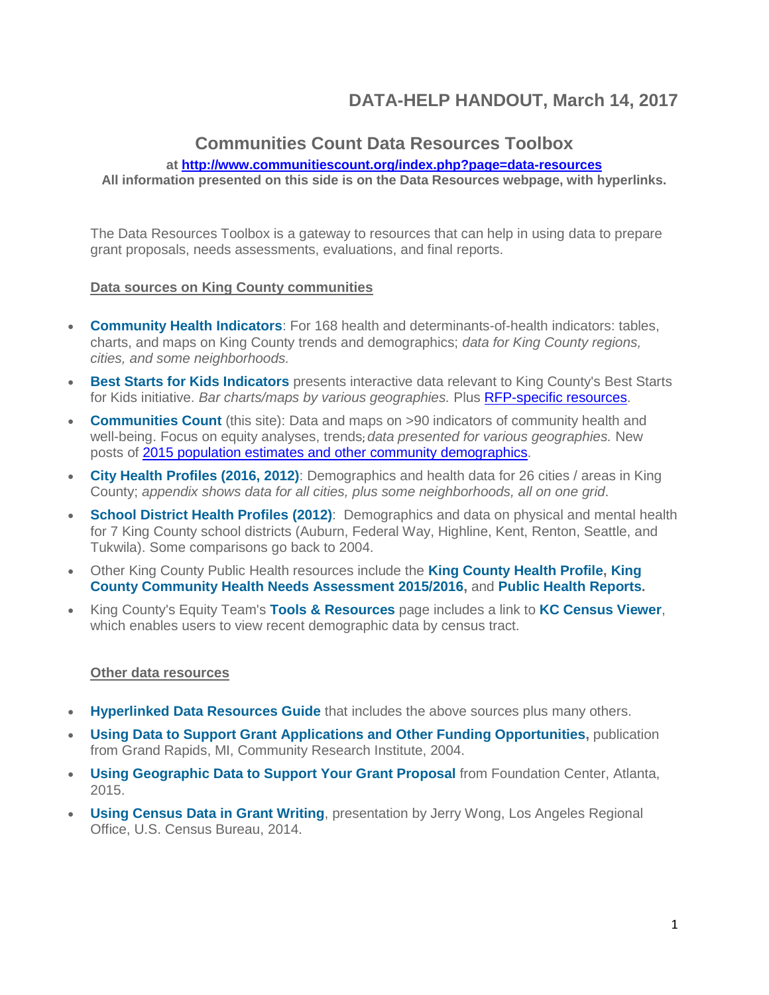# **DATA-HELP HANDOUT, March 14, 2017**

### **Communities Count Data Resources Toolbox**

### **at<http://www.communitiescount.org/index.php?page=data-resources>**

**All information presented on this side is on the Data Resources webpage, with hyperlinks.**

The Data Resources Toolbox is a gateway to resources that can help in using data to prepare grant proposals, needs assessments, evaluations, and final reports.

#### **Data sources on King County communities**

- **[Community Health Indicators](http://www.kingcounty.gov/healthservices/health/data/indicators.aspx)**: For 168 health and determinants-of-health indicators: tables, charts, and maps on King County trends and demographics; *data for King County regions, cities, and some neighborhoods.*
- **[Best Starts for Kids Indicators](http://www.kingcounty.gov/elected/executive/constantine/initiatives/best-starts-for-kids/dashboards.aspx)** presents interactive data relevant to King County's Best Starts for Kids initiative. *Bar charts/maps by various geographies.* Plus [RFP-specific resources.](http://www.communitiescount.org/index.php?page=best-starts-for-kids-rfps)
- **[Communities Count](http://www.communitiescount.org/index.php?page=home)** (this site): Data and maps on >90 indicators of community health and well-being. Focus on equity analyses, trends; *data presented for various geographies.* New posts of [2015 population estimates and other](http://www.communitiescount.org/index.php?page=population) community demographics.
- **[City Health Profiles](http://www.kingcounty.gov/healthservices/health/data/CityProfiles.aspx) (2016, 2012)**: Demographics and health data for 26 cities / areas in King County; *appendix shows data for all cities, plus some neighborhoods, all on one grid*.
- **[School District Health Profiles](http://www.kingcounty.gov/healthservices/health/data/SchoolProfiles.aspx) (2012)**: Demographics and data on physical and mental health for 7 King County school districts (Auburn, Federal Way, Highline, Kent, Renton, Seattle, and Tukwila). Some comparisons go back to 2004.
- Other King County Public Health resources include the **[King County Health Profile,](http://www.kingcounty.gov/depts/health/data/~/media/depts/health/data/documents/king-county-health-profile-2014.ashx) [King](http://www.kingcounty.gov/depts/health/data/community-health-indicators/king-county-hospitals-healthier-community.aspx)  [County Community Health Needs Assessment 2015/2016,](http://www.kingcounty.gov/depts/health/data/community-health-indicators/king-county-hospitals-healthier-community.aspx)** and **[Public Health Reports.](http://www.kingcounty.gov/depts/health/data/reports.aspx)**
- King County's Equity Team's **[Tools & Resources](http://www.kingcounty.gov/elected/executive/equity-social-justice/tools-resources.aspx)** page includes a link to **[KC Census Viewer](http://kingcounty.maps.arcgis.com/apps/webappviewer/index.html?id=70a97e804e9b4991846cda2242985272)**, which enables users to view recent demographic data by census tract.

#### **Other data resources**

- **[Hyperlinked Data Resources Guide](http://www.communitiescount.org/uploads/Hyperlinked%20Resources%20for%20CC%20Data%20Training_Feb2017.pdf)** that includes the above sources plus many others.
- **[Using Data to Support Grant Applications and Other Funding Opportunities,](https://www.bc.edu/res/gssw-research-home/funding/proposal-development/_jcr_content/content/download_6/file.res/Grant%20Writing%20Tips%20from%20CRI%20Article.pdf)** publication from Grand Rapids, MI, Community Research Institute, 2004.
- **[Using Geographic Data to Support Your Grant Proposal](http://atlantablog.foundationcenter.org/2015/04/finding-data-to-support-your-grant-proposal.html)** from Foundation Center, Atlanta, 2015.
- **[Using Census Data in Grant Writing](http://docplayer.net/14837499-Using-census-data-in-grant-writing-jerry-wong-information-services-specialist-los-angeles-regional-office-u-s-census-bureau.html)**, presentation by Jerry Wong, Los Angeles Regional Office, U.S. Census Bureau, 2014.